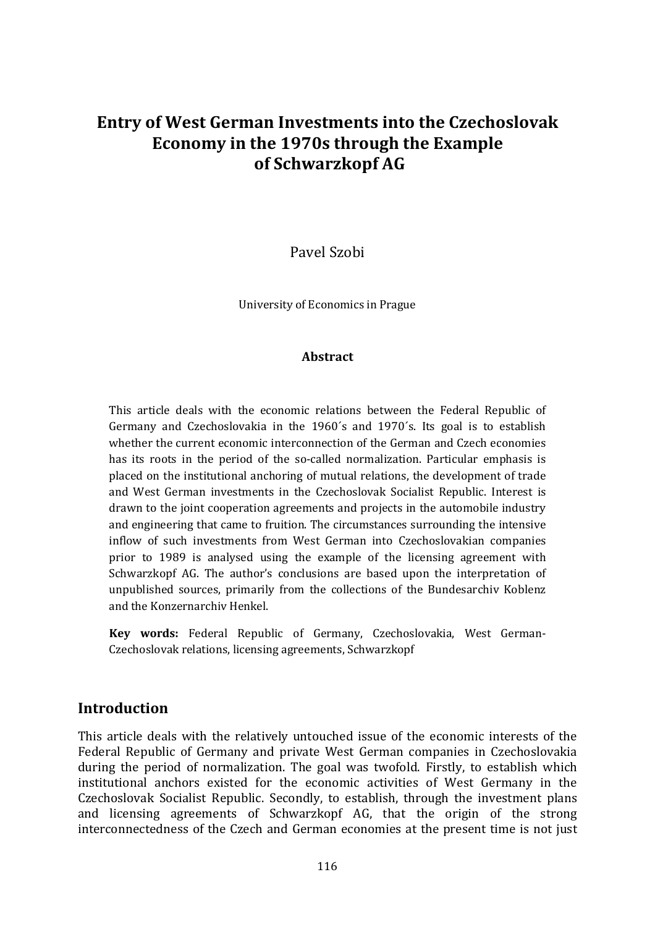# **Entry of West German Investments into the Czechoslovak Economy in the 1970s through the Example of Schwarzkopf AG**

Pavel Szobi

University of Economics in Prague

#### **Abstract**

This article deals with the economic relations between the Federal Republic of Germany and Czechoslovakia in the 1960´s and 1970´s. Its goal is to establish whether the current economic interconnection of the German and Czech economies has its roots in the period of the so-called normalization. Particular emphasis is placed on the institutional anchoring of mutual relations, the development of trade and West German investments in the Czechoslovak Socialist Republic. Interest is drawn to the joint cooperation agreements and projects in the automobile industry and engineering that came to fruition. The circumstances surrounding the intensive inflow of such investments from West German into Czechoslovakian companies prior to 1989 is analysed using the example of the licensing agreement with Schwarzkopf AG. The author's conclusions are based upon the interpretation of unpublished sources, primarily from the collections of the Bundesarchiv Koblenz and the Konzernarchiv Henkel.

**Key words:** Federal Republic of Germany, Czechoslovakia, West German-Czechoslovak relations, licensing agreements, Schwarzkopf

#### **Introduction**

This article deals with the relatively untouched issue of the economic interests of the Federal Republic of Germany and private West German companies in Czechoslovakia during the period of normalization. The goal was twofold. Firstly, to establish which institutional anchors existed for the economic activities of West Germany in the Czechoslovak Socialist Republic. Secondly, to establish, through the investment plans and licensing agreements of Schwarzkopf AG, that the origin of the strong interconnectedness of the Czech and German economies at the present time is not just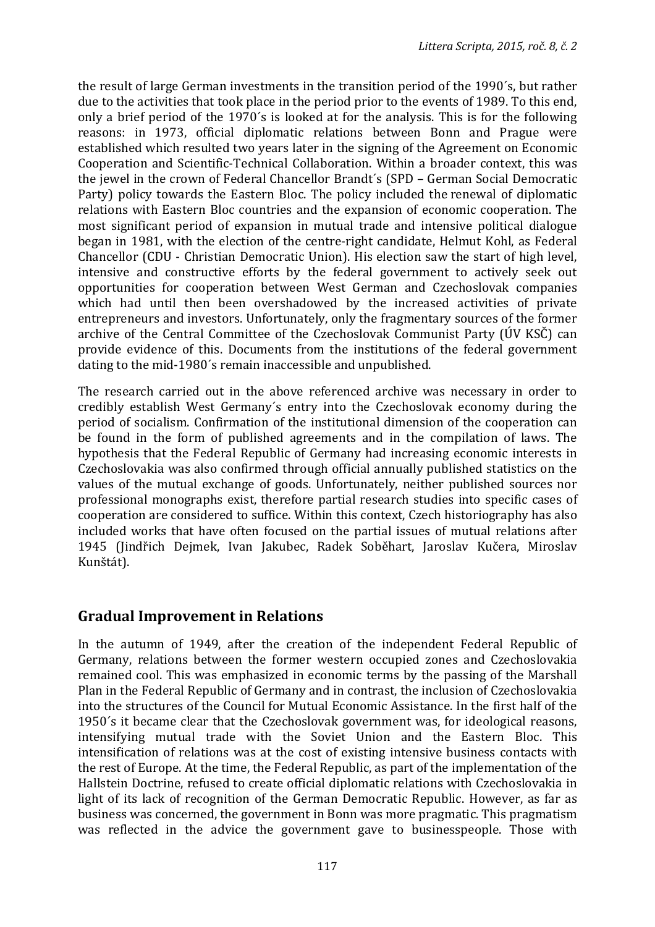the result of large German investments in the transition period of the 1990´s, but rather due to the activities that took place in the period prior to the events of 1989. To this end, only a brief period of the 1970´s is looked at for the analysis. This is for the following reasons: in 1973, official diplomatic relations between Bonn and Prague were established which resulted two years later in the signing of the Agreement on Economic Cooperation and Scientific-Technical Collaboration. Within a broader context, this was the jewel in the crown of Federal Chancellor Brandt´s (SPD – German Social Democratic Party) policy towards the Eastern Bloc. The policy included the renewal of diplomatic relations with Eastern Bloc countries and the expansion of economic cooperation. The most significant period of expansion in mutual trade and intensive political dialogue began in 1981, with the election of the centre-right candidate, Helmut Kohl, as Federal Chancellor (CDU - Christian Democratic Union). His election saw the start of high level, intensive and constructive efforts by the federal government to actively seek out opportunities for cooperation between West German and Czechoslovak companies which had until then been overshadowed by the increased activities of private entrepreneurs and investors. Unfortunately, only the fragmentary sources of the former archive of the Central Committee of the Czechoslovak Communist Party (ÚV KSČ) can provide evidence of this. Documents from the institutions of the federal government dating to the mid-1980´s remain inaccessible and unpublished.

The research carried out in the above referenced archive was necessary in order to credibly establish West Germany´s entry into the Czechoslovak economy during the period of socialism. Confirmation of the institutional dimension of the cooperation can be found in the form of published agreements and in the compilation of laws. The hypothesis that the Federal Republic of Germany had increasing economic interests in Czechoslovakia was also confirmed through official annually published statistics on the values of the mutual exchange of goods. Unfortunately, neither published sources nor professional monographs exist, therefore partial research studies into specific cases of cooperation are considered to suffice. Within this context, Czech historiography has also included works that have often focused on the partial issues of mutual relations after 1945 (Jindřich Dejmek, Ivan Jakubec, Radek Soběhart, Jaroslav Kučera, Miroslav Kunštát).

## **Gradual Improvement in Relations**

In the autumn of 1949, after the creation of the independent Federal Republic of Germany, relations between the former western occupied zones and Czechoslovakia remained cool. This was emphasized in economic terms by the passing of the Marshall Plan in the Federal Republic of Germany and in contrast, the inclusion of Czechoslovakia into the structures of the Council for Mutual Economic Assistance. In the first half of the 1950´s it became clear that the Czechoslovak government was, for ideological reasons, intensifying mutual trade with the Soviet Union and the Eastern Bloc. This intensification of relations was at the cost of existing intensive business contacts with the rest of Europe. At the time, the Federal Republic, as part of the implementation of the Hallstein Doctrine, refused to create official diplomatic relations with Czechoslovakia in light of its lack of recognition of the German Democratic Republic. However, as far as business was concerned, the government in Bonn was more pragmatic. This pragmatism was reflected in the advice the government gave to businesspeople. Those with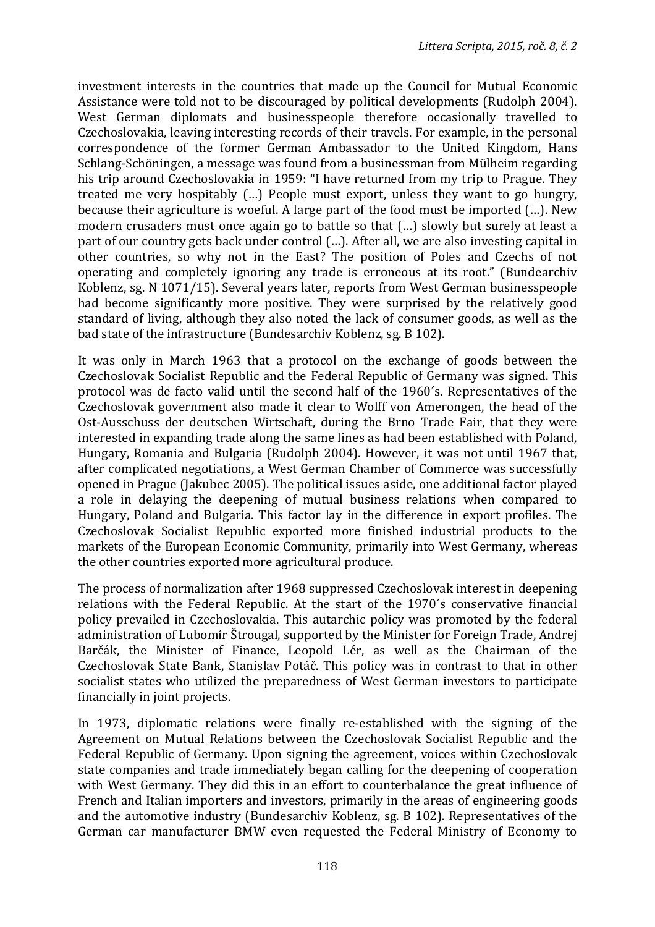investment interests in the countries that made up the Council for Mutual Economic Assistance were told not to be discouraged by political developments (Rudolph 2004). West German diplomats and businesspeople therefore occasionally travelled to Czechoslovakia, leaving interesting records of their travels. For example, in the personal correspondence of the former German Ambassador to the United Kingdom, Hans Schlang-Schöningen, a message was found from a businessman from Mülheim regarding his trip around Czechoslovakia in 1959: "I have returned from my trip to Prague. They treated me very hospitably (…) People must export, unless they want to go hungry, because their agriculture is woeful. A large part of the food must be imported (…). New modern crusaders must once again go to battle so that (…) slowly but surely at least a part of our country gets back under control (…). After all, we are also investing capital in other countries, so why not in the East? The position of Poles and Czechs of not operating and completely ignoring any trade is erroneous at its root." (Bundearchiv Koblenz, sg. N 1071/15). Several years later, reports from West German businesspeople had become significantly more positive. They were surprised by the relatively good standard of living, although they also noted the lack of consumer goods, as well as the bad state of the infrastructure (Bundesarchiv Koblenz, sg. B 102).

It was only in March 1963 that a protocol on the exchange of goods between the Czechoslovak Socialist Republic and the Federal Republic of Germany was signed. This protocol was de facto valid until the second half of the 1960´s. Representatives of the Czechoslovak government also made it clear to Wolff von Amerongen, the head of the Ost-Ausschuss der deutschen Wirtschaft, during the Brno Trade Fair, that they were interested in expanding trade along the same lines as had been established with Poland, Hungary, Romania and Bulgaria (Rudolph 2004). However, it was not until 1967 that, after complicated negotiations, a West German Chamber of Commerce was successfully opened in Prague (Jakubec 2005). The political issues aside, one additional factor played a role in delaying the deepening of mutual business relations when compared to Hungary, Poland and Bulgaria. This factor lay in the difference in export profiles. The Czechoslovak Socialist Republic exported more finished industrial products to the markets of the European Economic Community, primarily into West Germany, whereas the other countries exported more agricultural produce.

The process of normalization after 1968 suppressed Czechoslovak interest in deepening relations with the Federal Republic. At the start of the 1970´s conservative financial policy prevailed in Czechoslovakia. This autarchic policy was promoted by the federal administration of Lubomír Štrougal, supported by the Minister for Foreign Trade, Andrej Barčák, the Minister of Finance, Leopold Lér, as well as the Chairman of the Czechoslovak State Bank, Stanislav Potáč. This policy was in contrast to that in other socialist states who utilized the preparedness of West German investors to participate financially in joint projects.

In 1973, diplomatic relations were finally re-established with the signing of the Agreement on Mutual Relations between the Czechoslovak Socialist Republic and the Federal Republic of Germany. Upon signing the agreement, voices within Czechoslovak state companies and trade immediately began calling for the deepening of cooperation with West Germany. They did this in an effort to counterbalance the great influence of French and Italian importers and investors, primarily in the areas of engineering goods and the automotive industry (Bundesarchiv Koblenz, sg. B 102). Representatives of the German car manufacturer BMW even requested the Federal Ministry of Economy to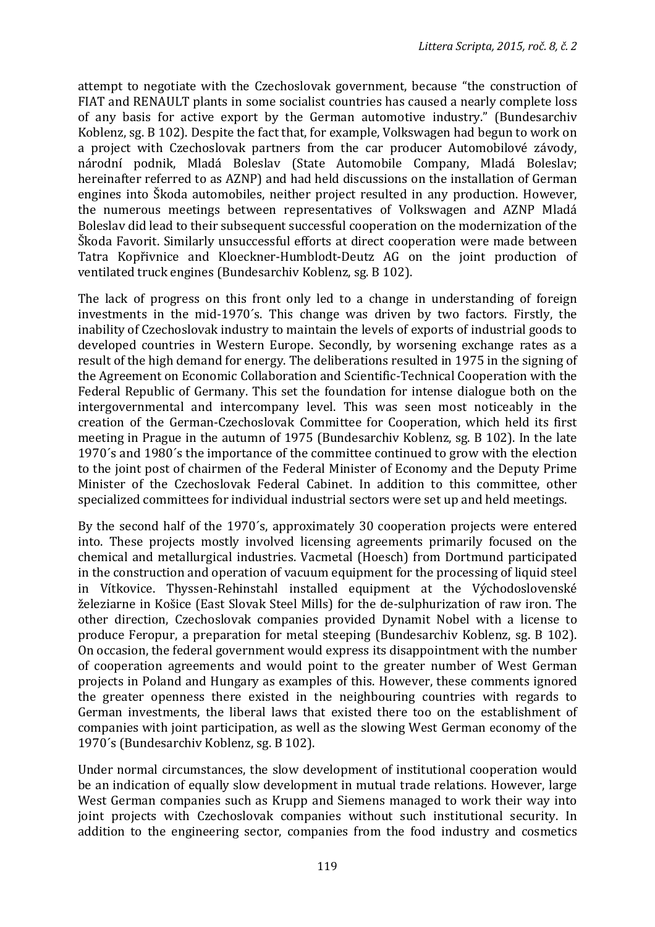attempt to negotiate with the Czechoslovak government, because "the construction of FIAT and RENAULT plants in some socialist countries has caused a nearly complete loss of any basis for active export by the German automotive industry." (Bundesarchiv Koblenz, sg. B 102). Despite the fact that, for example, Volkswagen had begun to work on a project with Czechoslovak partners from the car producer Automobilové závody, národní podnik, Mladá Boleslav (State Automobile Company, Mladá Boleslav; hereinafter referred to as AZNP) and had held discussions on the installation of German engines into Škoda automobiles, neither project resulted in any production. However, the numerous meetings between representatives of Volkswagen and AZNP Mladá Boleslav did lead to their subsequent successful cooperation on the modernization of the Škoda Favorit. Similarly unsuccessful efforts at direct cooperation were made between Tatra Kopřivnice and Kloeckner-Humblodt-Deutz AG on the joint production of ventilated truck engines (Bundesarchiv Koblenz, sg. B 102).

The lack of progress on this front only led to a change in understanding of foreign investments in the mid-1970´s. This change was driven by two factors. Firstly, the inability of Czechoslovak industry to maintain the levels of exports of industrial goods to developed countries in Western Europe. Secondly, by worsening exchange rates as a result of the high demand for energy. The deliberations resulted in 1975 in the signing of the Agreement on Economic Collaboration and Scientific-Technical Cooperation with the Federal Republic of Germany. This set the foundation for intense dialogue both on the intergovernmental and intercompany level. This was seen most noticeably in the creation of the German-Czechoslovak Committee for Cooperation, which held its first meeting in Prague in the autumn of 1975 (Bundesarchiv Koblenz, sg. B 102). In the late 1970´s and 1980´s the importance of the committee continued to grow with the election to the joint post of chairmen of the Federal Minister of Economy and the Deputy Prime Minister of the Czechoslovak Federal Cabinet. In addition to this committee, other specialized committees for individual industrial sectors were set up and held meetings.

By the second half of the 1970´s, approximately 30 cooperation projects were entered into. These projects mostly involved licensing agreements primarily focused on the chemical and metallurgical industries. Vacmetal (Hoesch) from Dortmund participated in the construction and operation of vacuum equipment for the processing of liquid steel in Vítkovice. Thyssen-Rehinstahl installed equipment at the Východoslovenské železiarne in Košice (East Slovak Steel Mills) for the de-sulphurization of raw iron. The other direction, Czechoslovak companies provided Dynamit Nobel with a license to produce Feropur, a preparation for metal steeping (Bundesarchiv Koblenz, sg. B 102). On occasion, the federal government would express its disappointment with the number of cooperation agreements and would point to the greater number of West German projects in Poland and Hungary as examples of this. However, these comments ignored the greater openness there existed in the neighbouring countries with regards to German investments, the liberal laws that existed there too on the establishment of companies with joint participation, as well as the slowing West German economy of the 1970´s (Bundesarchiv Koblenz, sg. B 102).

Under normal circumstances, the slow development of institutional cooperation would be an indication of equally slow development in mutual trade relations. However, large West German companies such as Krupp and Siemens managed to work their way into joint projects with Czechoslovak companies without such institutional security. In addition to the engineering sector, companies from the food industry and cosmetics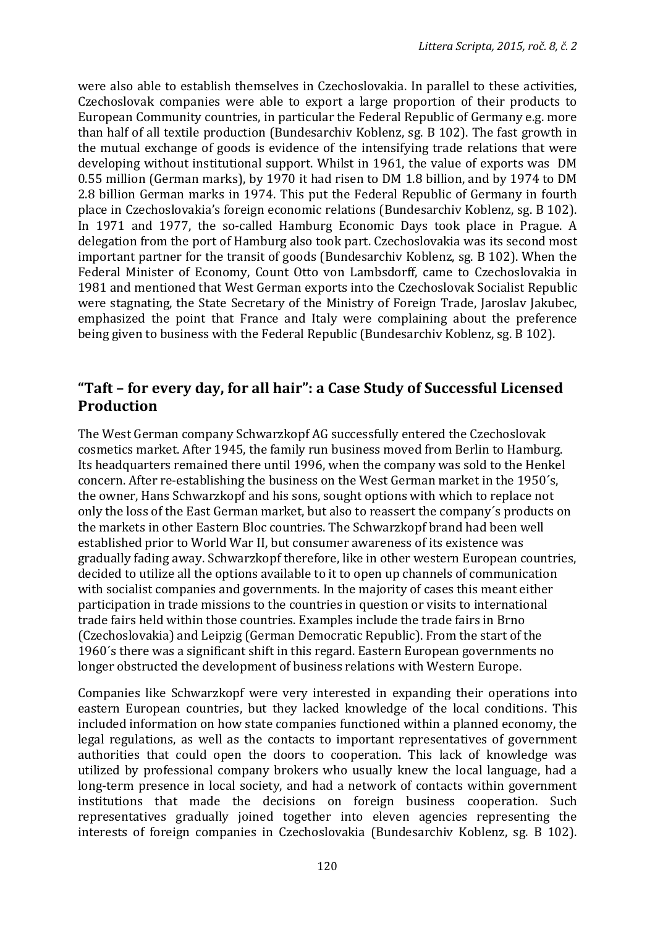were also able to establish themselves in Czechoslovakia. In parallel to these activities, Czechoslovak companies were able to export a large proportion of their products to European Community countries, in particular the Federal Republic of Germany e.g. more than half of all textile production (Bundesarchiv Koblenz, sg. B 102). The fast growth in the mutual exchange of goods is evidence of the intensifying trade relations that were developing without institutional support. Whilst in 1961, the value of exports was DM 0.55 million (German marks), by 1970 it had risen to DM 1.8 billion, and by 1974 to DM 2.8 billion German marks in 1974. This put the Federal Republic of Germany in fourth place in Czechoslovakia's foreign economic relations (Bundesarchiv Koblenz, sg. B 102). In 1971 and 1977, the so-called Hamburg Economic Days took place in Prague. A delegation from the port of Hamburg also took part. Czechoslovakia was its second most important partner for the transit of goods (Bundesarchiv Koblenz, sg. B 102). When the Federal Minister of Economy, Count Otto von Lambsdorff, came to Czechoslovakia in 1981 and mentioned that West German exports into the Czechoslovak Socialist Republic were stagnating, the State Secretary of the Ministry of Foreign Trade, Jaroslav Jakubec, emphasized the point that France and Italy were complaining about the preference being given to business with the Federal Republic (Bundesarchiv Koblenz, sg. B 102).

#### **"Taft – for every day, for all hair": a Case Study of Successful Licensed Production**

The West German company Schwarzkopf AG successfully entered the Czechoslovak cosmetics market. After 1945, the family run business moved from Berlin to Hamburg. Its headquarters remained there until 1996, when the company was sold to the Henkel concern. After re-establishing the business on the West German market in the 1950´s, the owner, Hans Schwarzkopf and his sons, sought options with which to replace not only the loss of the East German market, but also to reassert the company´s products on the markets in other Eastern Bloc countries. The Schwarzkopf brand had been well established prior to World War II, but consumer awareness of its existence was gradually fading away. Schwarzkopf therefore, like in other western European countries, decided to utilize all the options available to it to open up channels of communication with socialist companies and governments. In the majority of cases this meant either participation in trade missions to the countries in question or visits to international trade fairs held within those countries. Examples include the trade fairs in Brno (Czechoslovakia) and Leipzig (German Democratic Republic). From the start of the 1960´s there was a significant shift in this regard. Eastern European governments no longer obstructed the development of business relations with Western Europe.

Companies like Schwarzkopf were very interested in expanding their operations into eastern European countries, but they lacked knowledge of the local conditions. This included information on how state companies functioned within a planned economy, the legal regulations, as well as the contacts to important representatives of government authorities that could open the doors to cooperation. This lack of knowledge was utilized by professional company brokers who usually knew the local language, had a long-term presence in local society, and had a network of contacts within government institutions that made the decisions on foreign business cooperation. Such representatives gradually joined together into eleven agencies representing the interests of foreign companies in Czechoslovakia (Bundesarchiv Koblenz, sg. B 102).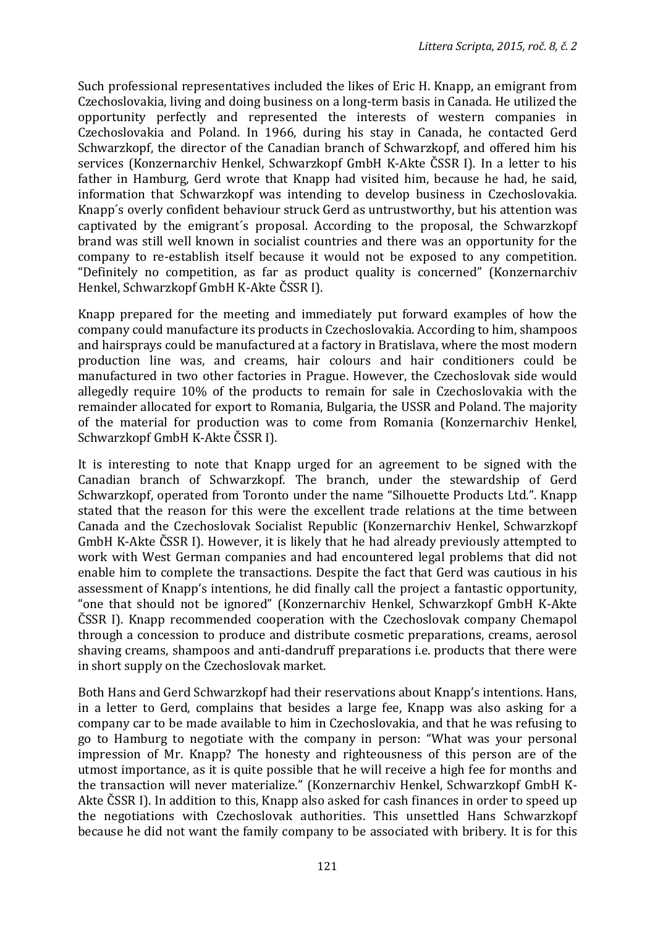Such professional representatives included the likes of Eric H. Knapp, an emigrant from Czechoslovakia, living and doing business on a long-term basis in Canada. He utilized the opportunity perfectly and represented the interests of western companies in Czechoslovakia and Poland. In 1966, during his stay in Canada, he contacted Gerd Schwarzkopf, the director of the Canadian branch of Schwarzkopf, and offered him his services (Konzernarchiv Henkel, Schwarzkopf GmbH K-Akte ČSSR I). In a letter to his father in Hamburg, Gerd wrote that Knapp had visited him, because he had, he said, information that Schwarzkopf was intending to develop business in Czechoslovakia. Knapp´s overly confident behaviour struck Gerd as untrustworthy, but his attention was captivated by the emigrant´s proposal. According to the proposal, the Schwarzkopf brand was still well known in socialist countries and there was an opportunity for the company to re-establish itself because it would not be exposed to any competition. "Definitely no competition, as far as product quality is concerned" (Konzernarchiv Henkel, Schwarzkopf GmbH K-Akte ČSSR I).

Knapp prepared for the meeting and immediately put forward examples of how the company could manufacture its products in Czechoslovakia. According to him, shampoos and hairsprays could be manufactured at a factory in Bratislava, where the most modern production line was, and creams, hair colours and hair conditioners could be manufactured in two other factories in Prague. However, the Czechoslovak side would allegedly require 10% of the products to remain for sale in Czechoslovakia with the remainder allocated for export to Romania, Bulgaria, the USSR and Poland. The majority of the material for production was to come from Romania (Konzernarchiv Henkel, Schwarzkopf GmbH K-Akte ČSSR I).

It is interesting to note that Knapp urged for an agreement to be signed with the Canadian branch of Schwarzkopf. The branch, under the stewardship of Gerd Schwarzkopf, operated from Toronto under the name "Silhouette Products Ltd.". Knapp stated that the reason for this were the excellent trade relations at the time between Canada and the Czechoslovak Socialist Republic (Konzernarchiv Henkel, Schwarzkopf GmbH K-Akte ČSSR I). However, it is likely that he had already previously attempted to work with West German companies and had encountered legal problems that did not enable him to complete the transactions. Despite the fact that Gerd was cautious in his assessment of Knapp's intentions, he did finally call the project a fantastic opportunity, "one that should not be ignored" (Konzernarchiv Henkel, Schwarzkopf GmbH K-Akte ČSSR I). Knapp recommended cooperation with the Czechoslovak company Chemapol through a concession to produce and distribute cosmetic preparations, creams, aerosol shaving creams, shampoos and anti-dandruff preparations i.e. products that there were in short supply on the Czechoslovak market.

Both Hans and Gerd Schwarzkopf had their reservations about Knapp's intentions. Hans, in a letter to Gerd, complains that besides a large fee, Knapp was also asking for a company car to be made available to him in Czechoslovakia, and that he was refusing to go to Hamburg to negotiate with the company in person: "What was your personal impression of Mr. Knapp? The honesty and righteousness of this person are of the utmost importance, as it is quite possible that he will receive a high fee for months and the transaction will never materialize." (Konzernarchiv Henkel, Schwarzkopf GmbH K-Akte ČSSR I). In addition to this, Knapp also asked for cash finances in order to speed up the negotiations with Czechoslovak authorities. This unsettled Hans Schwarzkopf because he did not want the family company to be associated with bribery. It is for this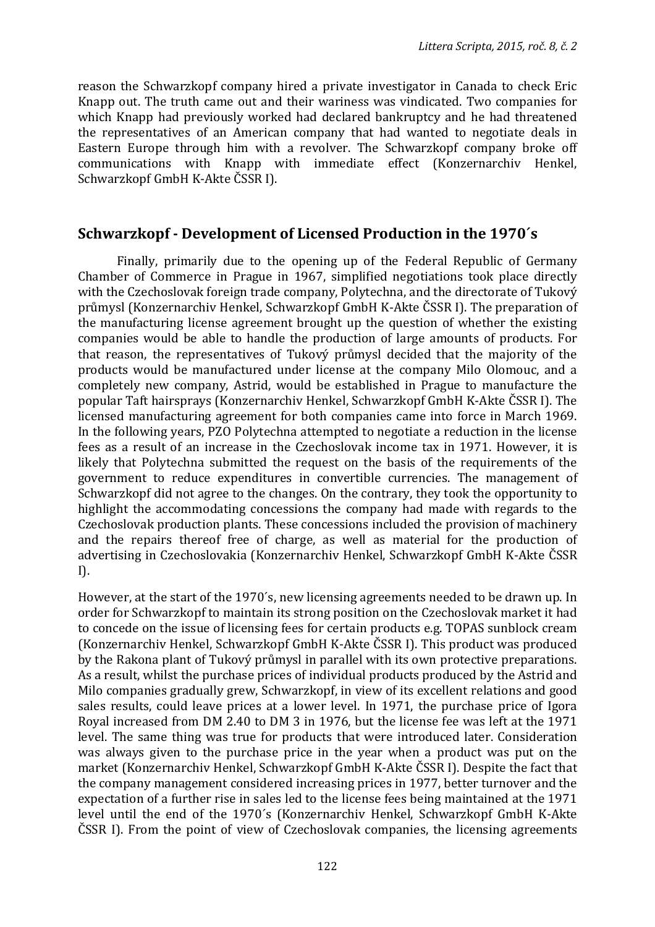reason the Schwarzkopf company hired a private investigator in Canada to check Eric Knapp out. The truth came out and their wariness was vindicated. Two companies for which Knapp had previously worked had declared bankruptcy and he had threatened the representatives of an American company that had wanted to negotiate deals in Eastern Europe through him with a revolver. The Schwarzkopf company broke off communications with Knapp with immediate effect (Konzernarchiv Henkel, Schwarzkopf GmbH K-Akte ČSSR I).

#### **Schwarzkopf - Development of Licensed Production in the 1970´s**

Finally, primarily due to the opening up of the Federal Republic of Germany Chamber of Commerce in Prague in 1967, simplified negotiations took place directly with the Czechoslovak foreign trade company, Polytechna, and the directorate of Tukový průmysl (Konzernarchiv Henkel, Schwarzkopf GmbH K-Akte ČSSR I). The preparation of the manufacturing license agreement brought up the question of whether the existing companies would be able to handle the production of large amounts of products. For that reason, the representatives of Tukový průmysl decided that the majority of the products would be manufactured under license at the company Milo Olomouc, and a completely new company, Astrid, would be established in Prague to manufacture the popular Taft hairsprays (Konzernarchiv Henkel, Schwarzkopf GmbH K-Akte ČSSR I). The licensed manufacturing agreement for both companies came into force in March 1969. In the following years, PZO Polytechna attempted to negotiate a reduction in the license fees as a result of an increase in the Czechoslovak income tax in 1971. However, it is likely that Polytechna submitted the request on the basis of the requirements of the government to reduce expenditures in convertible currencies. The management of Schwarzkopf did not agree to the changes. On the contrary, they took the opportunity to highlight the accommodating concessions the company had made with regards to the Czechoslovak production plants. These concessions included the provision of machinery and the repairs thereof free of charge, as well as material for the production of advertising in Czechoslovakia (Konzernarchiv Henkel, Schwarzkopf GmbH K-Akte ČSSR I).

However, at the start of the 1970´s, new licensing agreements needed to be drawn up. In order for Schwarzkopf to maintain its strong position on the Czechoslovak market it had to concede on the issue of licensing fees for certain products e.g. TOPAS sunblock cream (Konzernarchiv Henkel, Schwarzkopf GmbH K-Akte ČSSR I). This product was produced by the Rakona plant of Tukový průmysl in parallel with its own protective preparations. As a result, whilst the purchase prices of individual products produced by the Astrid and Milo companies gradually grew, Schwarzkopf, in view of its excellent relations and good sales results, could leave prices at a lower level. In 1971, the purchase price of Igora Royal increased from DM 2.40 to DM 3 in 1976, but the license fee was left at the 1971 level. The same thing was true for products that were introduced later. Consideration was always given to the purchase price in the year when a product was put on the market (Konzernarchiv Henkel, Schwarzkopf GmbH K-Akte ČSSR I). Despite the fact that the company management considered increasing prices in 1977, better turnover and the expectation of a further rise in sales led to the license fees being maintained at the 1971 level until the end of the 1970´s (Konzernarchiv Henkel, Schwarzkopf GmbH K-Akte ČSSR I). From the point of view of Czechoslovak companies, the licensing agreements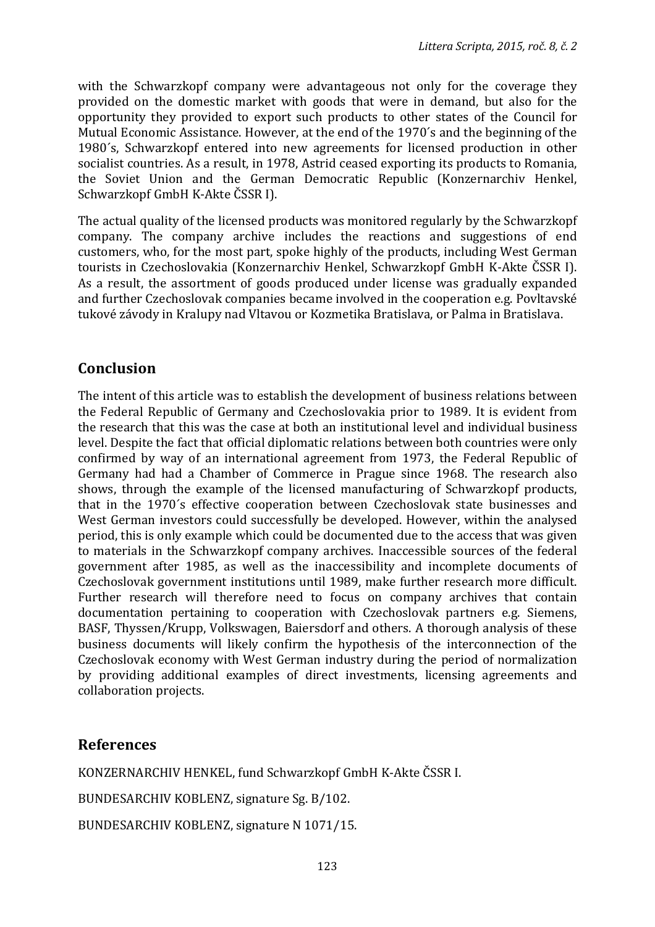with the Schwarzkopf company were advantageous not only for the coverage they provided on the domestic market with goods that were in demand, but also for the opportunity they provided to export such products to other states of the Council for Mutual Economic Assistance. However, at the end of the 1970´s and the beginning of the 1980´s, Schwarzkopf entered into new agreements for licensed production in other socialist countries. As a result, in 1978, Astrid ceased exporting its products to Romania, the Soviet Union and the German Democratic Republic (Konzernarchiv Henkel, Schwarzkopf GmbH K-Akte ČSSR I).

The actual quality of the licensed products was monitored regularly by the Schwarzkopf company. The company archive includes the reactions and suggestions of end customers, who, for the most part, spoke highly of the products, including West German tourists in Czechoslovakia (Konzernarchiv Henkel, Schwarzkopf GmbH K-Akte ČSSR I). As a result, the assortment of goods produced under license was gradually expanded and further Czechoslovak companies became involved in the cooperation e.g. Povltavské tukové závody in Kralupy nad Vltavou or Kozmetika Bratislava, or Palma in Bratislava.

## **Conclusion**

The intent of this article was to establish the development of business relations between the Federal Republic of Germany and Czechoslovakia prior to 1989. It is evident from the research that this was the case at both an institutional level and individual business level. Despite the fact that official diplomatic relations between both countries were only confirmed by way of an international agreement from 1973, the Federal Republic of Germany had had a Chamber of Commerce in Prague since 1968. The research also shows, through the example of the licensed manufacturing of Schwarzkopf products, that in the 1970´s effective cooperation between Czechoslovak state businesses and West German investors could successfully be developed. However, within the analysed period, this is only example which could be documented due to the access that was given to materials in the Schwarzkopf company archives. Inaccessible sources of the federal government after 1985, as well as the inaccessibility and incomplete documents of Czechoslovak government institutions until 1989, make further research more difficult. Further research will therefore need to focus on company archives that contain documentation pertaining to cooperation with Czechoslovak partners e.g. Siemens, BASF, Thyssen/Krupp, Volkswagen, Baiersdorf and others. A thorough analysis of these business documents will likely confirm the hypothesis of the interconnection of the Czechoslovak economy with West German industry during the period of normalization by providing additional examples of direct investments, licensing agreements and collaboration projects.

## **References**

KONZERNARCHIV HENKEL, fund Schwarzkopf GmbH K-Akte ČSSR I.

BUNDESARCHIV KOBLENZ, signature Sg. B/102.

BUNDESARCHIV KOBLENZ, signature N 1071/15.